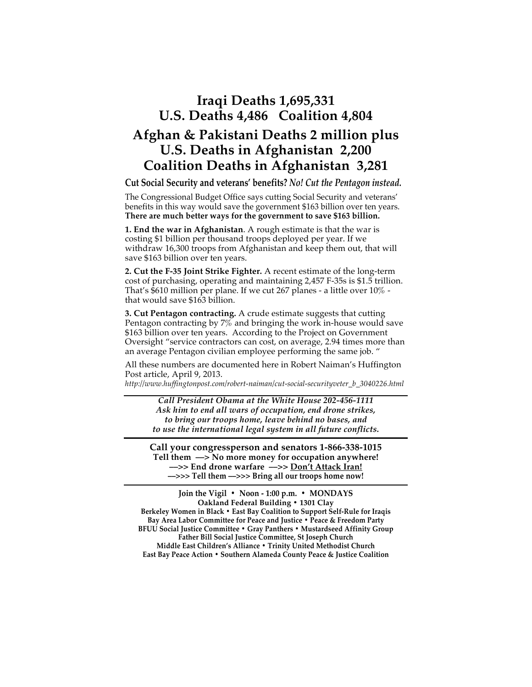## **Iraqi Deaths 1,695,331 U.S. Deaths 4,486 Coalition 4,804 Afghan & Pakistani Deaths 2 million plus U.S. Deaths in Afghanistan 2,200 Coalition Deaths in Afghanistan 3,281**

**Cut Social Security and veterans' benefits?** *No! Cut the Pentagon instead.*

The Congressional Budget Office says cutting Social Security and veterans' benefits in this way would save the government \$163 billion over ten years. **There are much better ways for the government to save \$163 billion.**

**1. End the war in Afghanistan**. A rough estimate is that the war is costing \$1 billion per thousand troops deployed per year. If we withdraw 16,300 troops from Afghanistan and keep them out, that will save \$163 billion over ten years.

**2. Cut the F-35 Joint Strike Fighter.** A recent estimate of the long-term cost of purchasing, operating and maintaining 2,457 F-35s is \$1.5 trillion. That's \$610 million per plane. If we cut 267 planes - a little over 10% that would save \$163 billion.

**3. Cut Pentagon contracting.** A crude estimate suggests that cutting Pentagon contracting by 7% and bringing the work in-house would save \$163 billion over ten years. According to the Project on Government Oversight "service contractors can cost, on average, 2.94 times more than an average Pentagon civilian employee performing the same job. "

All these numbers are documented here in Robert Naiman's Huffington Post article, April 9, 2013.

*http://www.huffingtonpost.com/robert-naiman/cut-social-securityveter\_b\_3040226.html*

*Call President Obama at the White House 202-456-1111 Ask him to end all wars of occupation, end drone strikes, to bring our troops home, leave behind no bases, and to use the international legal system in all future conflicts.*

**Call your congressperson and senators 1-866-338-1015 Tell them ––> No more money for occupation anywhere! ––>> End drone warfare ––>> Don't Attack Iran! ––>>> Tell them ––>>> Bring all our troops home now!**

**Join the Vigil • Noon - 1:00 p.m. • MONDAYS Oakland Federal Building • 1301 Clay Berkeley Women in Black • East Bay Coalition to Support Self-Rule for Iraqis Bay Area Labor Committee for Peace and Justice • Peace & Freedom Party BFUU Social Justice Committee • Gray Panthers • Mustardseed Affinity Group Father Bill Social Justice Committee, St Joseph Church Middle East Children's Alliance • Trinity United Methodist Church East Bay Peace Action • Southern Alameda County Peace & Justice Coalition**